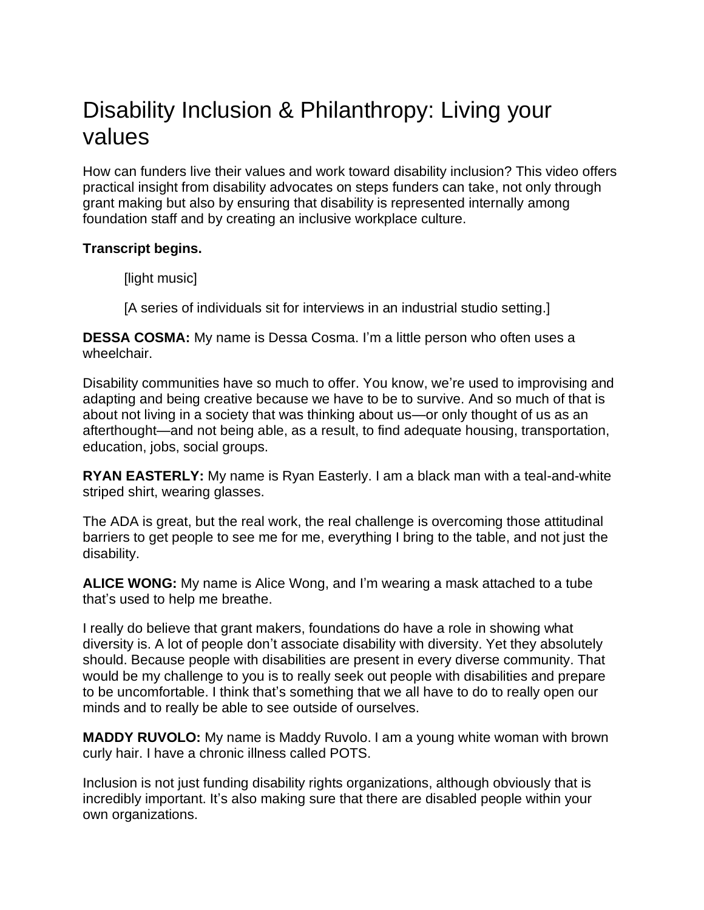# Disability Inclusion & Philanthropy: Living your values

How can funders live their values and work toward disability inclusion? This video offers practical insight from disability advocates on steps funders can take, not only through grant making but also by ensuring that disability is represented internally among foundation staff and by creating an inclusive workplace culture.

## **Transcript begins.**

[light music]

[A series of individuals sit for interviews in an industrial studio setting.]

**DESSA COSMA:** My name is Dessa Cosma. I'm a little person who often uses a wheelchair.

Disability communities have so much to offer. You know, we're used to improvising and adapting and being creative because we have to be to survive. And so much of that is about not living in a society that was thinking about us—or only thought of us as an afterthought—and not being able, as a result, to find adequate housing, transportation, education, jobs, social groups.

**RYAN EASTERLY:** My name is Ryan Easterly. I am a black man with a teal-and-white striped shirt, wearing glasses.

The ADA is great, but the real work, the real challenge is overcoming those attitudinal barriers to get people to see me for me, everything I bring to the table, and not just the disability.

**ALICE WONG:** My name is Alice Wong, and I'm wearing a mask attached to a tube that's used to help me breathe.

I really do believe that grant makers, foundations do have a role in showing what diversity is. A lot of people don't associate disability with diversity. Yet they absolutely should. Because people with disabilities are present in every diverse community. That would be my challenge to you is to really seek out people with disabilities and prepare to be uncomfortable. I think that's something that we all have to do to really open our minds and to really be able to see outside of ourselves.

**MADDY RUVOLO:** My name is Maddy Ruvolo. I am a young white woman with brown curly hair. I have a chronic illness called POTS.

Inclusion is not just funding disability rights organizations, although obviously that is incredibly important. It's also making sure that there are disabled people within your own organizations.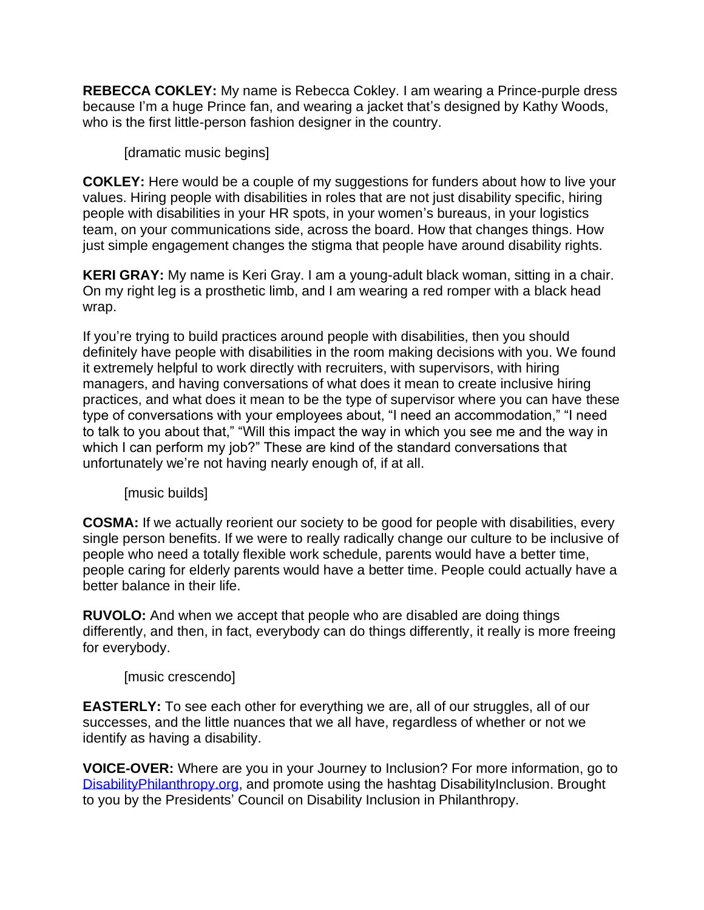**REBECCA COKLEY:** My name is Rebecca Cokley. I am wearing a Prince-purple dress because I'm a huge Prince fan, and wearing a jacket that's designed by Kathy Woods, who is the first little-person fashion designer in the country.

[dramatic music begins]

**COKLEY:** Here would be a couple of my suggestions for funders about how to live your values. Hiring people with disabilities in roles that are not just disability specific, hiring people with disabilities in your HR spots, in your women's bureaus, in your logistics team, on your communications side, across the board. How that changes things. How just simple engagement changes the stigma that people have around disability rights.

**KERI GRAY:** My name is Keri Gray. I am a young-adult black woman, sitting in a chair. On my right leg is a prosthetic limb, and I am wearing a red romper with a black head wrap.

If you're trying to build practices around people with disabilities, then you should definitely have people with disabilities in the room making decisions with you. We found it extremely helpful to work directly with recruiters, with supervisors, with hiring managers, and having conversations of what does it mean to create inclusive hiring practices, and what does it mean to be the type of supervisor where you can have these type of conversations with your employees about, "I need an accommodation," "I need to talk to you about that," "Will this impact the way in which you see me and the way in which I can perform my job?" These are kind of the standard conversations that unfortunately we're not having nearly enough of, if at all.

[music builds]

**COSMA:** If we actually reorient our society to be good for people with disabilities, every single person benefits. If we were to really radically change our culture to be inclusive of people who need a totally flexible work schedule, parents would have a better time, people caring for elderly parents would have a better time. People could actually have a better balance in their life.

**RUVOLO:** And when we accept that people who are disabled are doing things differently, and then, in fact, everybody can do things differently, it really is more freeing for everybody.

[music crescendo]

**EASTERLY:** To see each other for everything we are, all of our struggles, all of our successes, and the little nuances that we all have, regardless of whether or not we identify as having a disability.

**VOICE-OVER:** Where are you in your Journey to Inclusion? For more information, go to [DisabilityPhilanthropy.org,](http://www.disabilityphilanthropy.org/) and promote using the hashtag DisabilityInclusion. Brought to you by the Presidents' Council on Disability Inclusion in Philanthropy.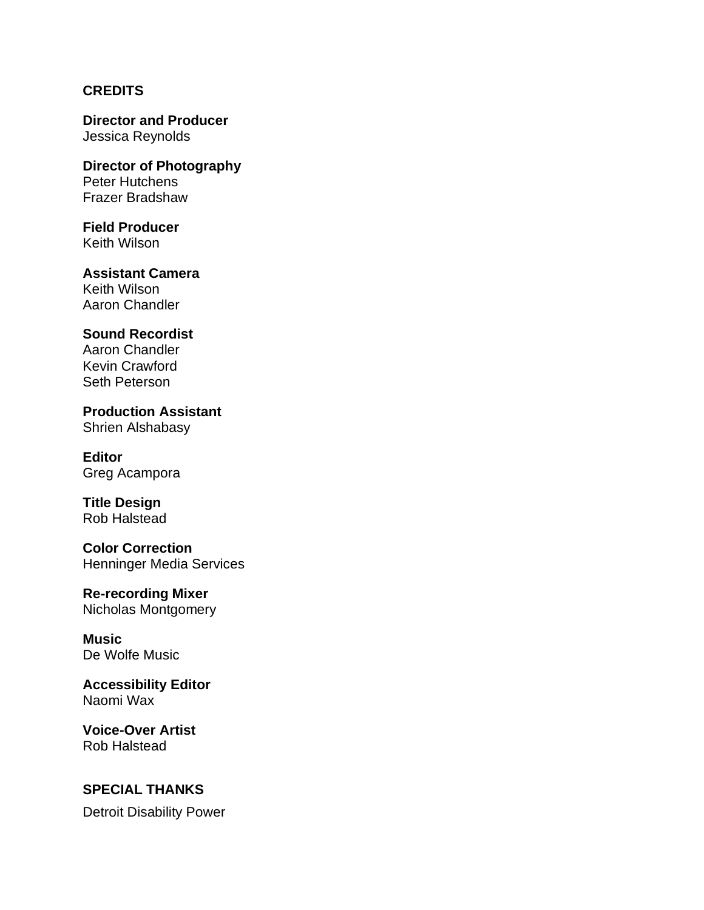### **CREDITS**

**Director and Producer** Jessica Reynolds

**Director of Photography** Peter Hutchens Frazer Bradshaw

**Field Producer** Keith Wilson

**Assistant Camera** Keith Wilson Aaron Chandler

### **Sound Recordist**

Aaron Chandler Kevin Crawford Seth Peterson

**Production Assistant** Shrien Alshabasy

**Editor** Greg Acampora

**Title Design** Rob Halstead

**Color Correction** Henninger Media Services

**Re-recording Mixer** Nicholas Montgomery

**Music** De Wolfe Music

**Accessibility Editor** Naomi Wax

**Voice-Over Artist** Rob Halstead

#### **SPECIAL THANKS**

Detroit Disability Power